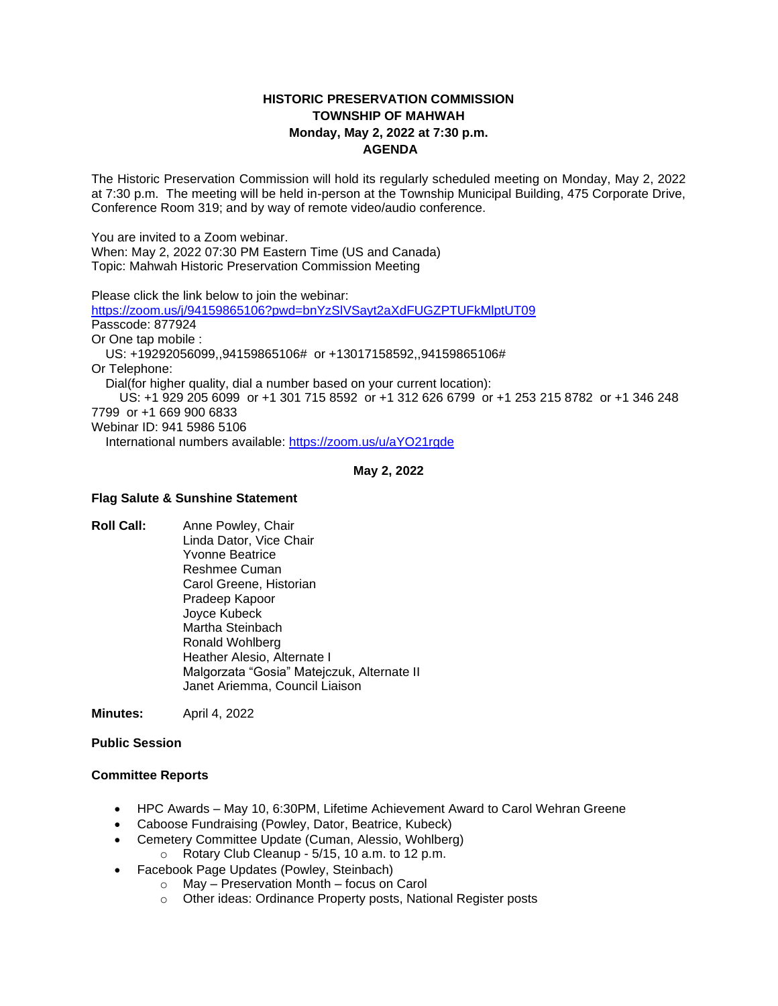# **HISTORIC PRESERVATION COMMISSION TOWNSHIP OF MAHWAH Monday, May 2, 2022 at 7:30 p.m. AGENDA**

The Historic Preservation Commission will hold its regularly scheduled meeting on Monday, May 2, 2022 at 7:30 p.m. The meeting will be held in-person at the Township Municipal Building, 475 Corporate Drive, Conference Room 319; and by way of remote video/audio conference.

You are invited to a Zoom webinar. When: May 2, 2022 07:30 PM Eastern Time (US and Canada) Topic: Mahwah Historic Preservation Commission Meeting

Please click the link below to join the webinar: <https://zoom.us/j/94159865106?pwd=bnYzSlVSayt2aXdFUGZPTUFkMlptUT09> Passcode: 877924 Or One tap mobile : US: +19292056099,,94159865106# or +13017158592,,94159865106# Or Telephone: Dial(for higher quality, dial a number based on your current location): US: +1 929 205 6099 or +1 301 715 8592 or +1 312 626 6799 or +1 253 215 8782 or +1 346 248 7799 or +1 669 900 6833 Webinar ID: 941 5986 5106 International numbers available:<https://zoom.us/u/aYO21rgde>

**May 2, 2022**

#### **Flag Salute & Sunshine Statement**

**Roll Call:** Anne Powley, Chair Linda Dator, Vice Chair Yvonne Beatrice Reshmee Cuman Carol Greene, Historian Pradeep Kapoor Joyce Kubeck Martha Steinbach Ronald Wohlberg Heather Alesio, Alternate I Malgorzata "Gosia" Matejczuk, Alternate II Janet Ariemma, Council Liaison

**Minutes:** April 4, 2022

**Public Session**

### **Committee Reports**

- HPC Awards May 10, 6:30PM, Lifetime Achievement Award to Carol Wehran Greene
- Caboose Fundraising (Powley, Dator, Beatrice, Kubeck)
- Cemetery Committee Update (Cuman, Alessio, Wohlberg)
- $\circ$  Rotary Club Cleanup 5/15, 10 a.m. to 12 p.m.
- Facebook Page Updates (Powley, Steinbach)
	- o May Preservation Month focus on Carol
	- o Other ideas: Ordinance Property posts, National Register posts